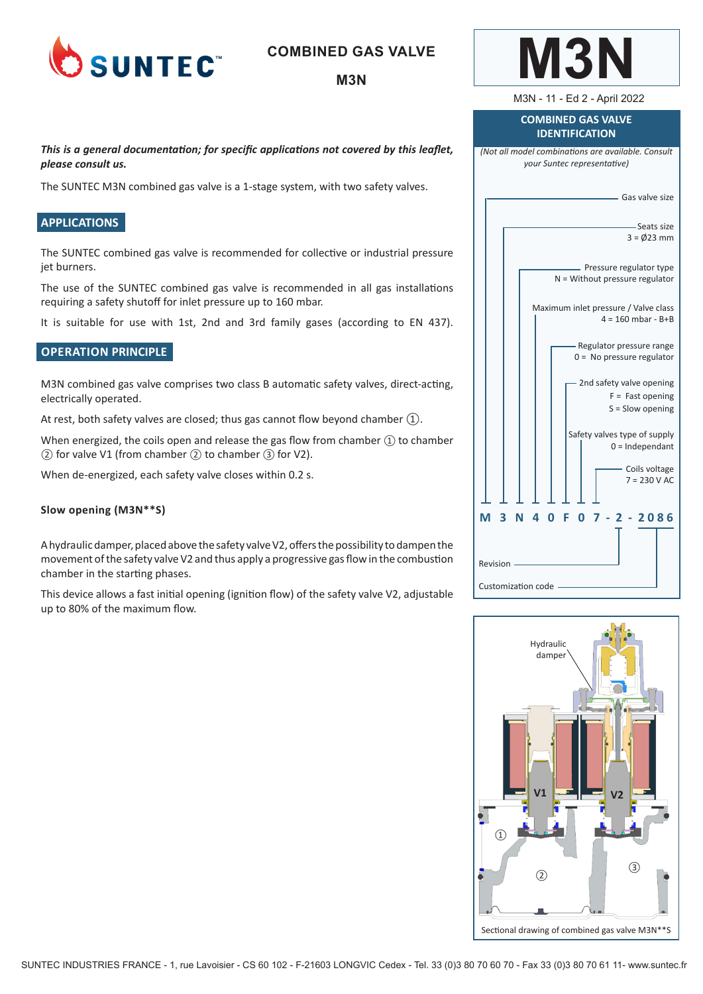

### **COMBINED GAS VALVE**

### **M3N**

*This is a general documentation; for specific applications not covered by this leaflet, please consult us.* 

The SUNTEC M3N combined gas valve is a 1-stage system, with two safety valves.

#### **APPLICATIONS**

The SUNTEC combined gas valve is recommended for collective or industrial pressure jet burners.

The use of the SUNTEC combined gas valve is recommended in all gas installations requiring a safety shutoff for inlet pressure up to 160 mbar.

It is suitable for use with 1st, 2nd and 3rd family gases (according to EN 437).

#### **OPERATION PRINCIPLE**

M3N combined gas valve comprises two class B automatic safety valves, direct-acting, electrically operated.

At rest, both safety valves are closed; thus gas cannot flow beyond chamber ①.

When energized, the coils open and release the gas flow from chamber  $\textcircled{1}$  to chamber ② for valve V1 (from chamber ② to chamber ③ for V2).

When de-energized, each safety valve closes within 0.2 s.

#### **Slow opening (M3N\*\*S)**

A hydraulic damper, placed above the safety valve V2, offers the possibility to dampen the movement of the safety valve V2 and thus apply a progressive gas flow in the combustion chamber in the starting phases.

This device allows a fast initial opening (ignition flow) of the safety valve V2, adjustable up to 80% of the maximum flow.

| <b>COMBINED GAS VALVE</b><br><b>IDENTIFICATION</b>                                |  |  |
|-----------------------------------------------------------------------------------|--|--|
| (Not all model combinations are available. Consult<br>your Suntec representative) |  |  |
| — Gas valve size                                                                  |  |  |
| -Seats size<br>$3 = 0/23$ mm                                                      |  |  |
| Pressure regulator type<br>$N =$ Without pressure regulator                       |  |  |
| Maximum inlet pressure / Valve class<br>$4 = 160$ mbar - B+B                      |  |  |
| - Regulator pressure range<br>$0 = No pressure regulator$                         |  |  |
| 2nd safety valve opening<br>$F =$ Fast opening<br>$S =$ Slow opening              |  |  |
| Safety valves type of supply<br>$0 =$ Independant                                 |  |  |
| - Coils voltage<br>$7 = 230 V AC$                                                 |  |  |
| 3<br>$\Omega$<br>$2 - 2086$<br>Ν<br>4<br>F<br>M<br>ŋ<br>7                         |  |  |
| Revision ·                                                                        |  |  |
| Customization code                                                                |  |  |

**M3N**

M3N - 11 - Ed 2 - April 2022